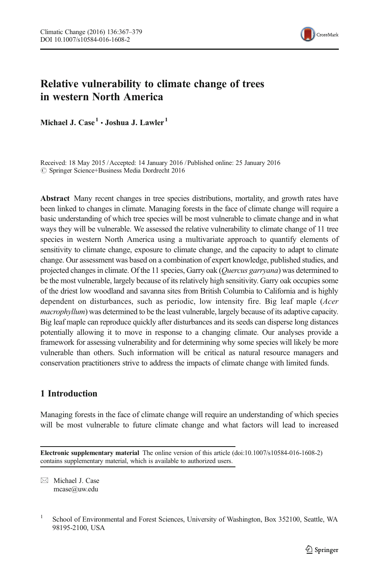

# Relative vulnerability to climate change of trees in western North America

Michael J.  $Case<sup>1</sup> \cdot$  Joshua J. Lawler<sup>1</sup>

Received: 18 May 2015 /Accepted: 14 January 2016 / Published online: 25 January 2016  $\oslash$  Springer Science+Business Media Dordrecht 2016

Abstract Many recent changes in tree species distributions, mortality, and growth rates have been linked to changes in climate. Managing forests in the face of climate change will require a basic understanding of which tree species will be most vulnerable to climate change and in what ways they will be vulnerable. We assessed the relative vulnerability to climate change of 11 tree species in western North America using a multivariate approach to quantify elements of sensitivity to climate change, exposure to climate change, and the capacity to adapt to climate change. Our assessment was based on a combination of expert knowledge, published studies, and projected changes in climate. Of the 11 species, Garry oak (Quercus garryana) was determined to be the most vulnerable, largely because of its relatively high sensitivity. Garry oak occupies some of the driest low woodland and savanna sites from British Columbia to California and is highly dependent on disturbances, such as periodic, low intensity fire. Big leaf maple (Acer macrophyllum) was determined to be the least vulnerable, largely because of its adaptive capacity. Big leaf maple can reproduce quickly after disturbances and its seeds can disperse long distances potentially allowing it to move in response to a changing climate. Our analyses provide a framework for assessing vulnerability and for determining why some species will likely be more vulnerable than others. Such information will be critical as natural resource managers and conservation practitioners strive to address the impacts of climate change with limited funds.

# 1 Introduction

Managing forests in the face of climate change will require an understanding of which species will be most vulnerable to future climate change and what factors will lead to increased

 $\boxtimes$  Michael J. Case mcase@uw.edu

Electronic supplementary material The online version of this article (doi:[10.1007/s10584-016-1608-2\)](http://dx.doi.org/10.1007/s10584-016-1608-2) contains supplementary material, which is available to authorized users.

<sup>&</sup>lt;sup>1</sup> School of Environmental and Forest Sciences, University of Washington, Box 352100, Seattle, WA 98195-2100, USA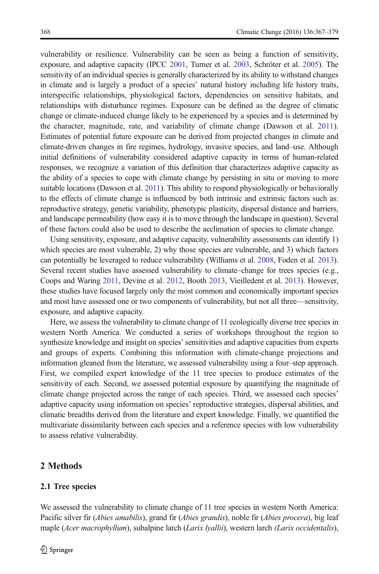vulnerability or resilience. Vulnerability can be seen as being a function of sensitivity, exposure, and adaptive capacity (IPCC [2001](#page-11-0), Turner et al. [2003](#page-11-0), Schröter et al. [2005\)](#page-11-0). The sensitivity of an individual species is generally characterized by its ability to withstand changes in climate and is largely a product of a species' natural history including life history traits, interspecific relationships, physiological factors, dependencies on sensitive habitats, and relationships with disturbance regimes. Exposure can be defined as the degree of climatic change or climate-induced change likely to be experienced by a species and is determined by the character, magnitude, rate, and variability of climate change (Dawson et al. [2011](#page-10-0)). Estimates of potential future exposure can be derived from projected changes in climate and climate-driven changes in fire regimes, hydrology, invasive species, and land–use. Although initial definitions of vulnerability considered adaptive capacity in terms of human-related responses, we recognize a variation of this definition that characterizes adaptive capacity as the ability of a species to cope with climate change by persisting in situ or moving to more suitable locations (Dawson et al. [2011](#page-10-0)). This ability to respond physiologically or behaviorally to the effects of climate change is influenced by both intrinsic and extrinsic factors such as: reproductive strategy, genetic variability, phenotypic plasticity, dispersal distance and barriers, and landscape permeability (how easy it is to move through the landscape in question). Several of these factors could also be used to describe the acclimation of species to climate change.

Using sensitivity, exposure, and adaptive capacity, vulnerability assessments can identify 1) which species are most vulnerable, 2) why those species are vulnerable, and 3) which factors can potentially be leveraged to reduce vulnerability (Williams et al. [2008](#page-12-0), Foden et al. [2013](#page-10-0)). Several recent studies have assessed vulnerability to climate–change for trees species (e.g., Coops and Waring [2011,](#page-10-0) Devine et al. [2012,](#page-10-0) Booth [2013](#page-10-0), Vieilledent et al. [2013\)](#page-12-0). However, these studies have focused largely only the most common and economically important species and most have assessed one or two components of vulnerability, but not all three—sensitivity, exposure, and adaptive capacity.

Here, we assess the vulnerability to climate change of 11 ecologically diverse tree species in western North America. We conducted a series of workshops throughout the region to synthesize knowledge and insight on species' sensitivities and adaptive capacities from experts and groups of experts. Combining this information with climate-change projections and information gleaned from the literature, we assessed vulnerability using a four–step approach. First, we compiled expert knowledge of the 11 tree species to produce estimates of the sensitivity of each. Second, we assessed potential exposure by quantifying the magnitude of climate change projected across the range of each species. Third, we assessed each species' adaptive capacity using information on species' reproductive strategies, dispersal abilities, and climatic breadths derived from the literature and expert knowledge. Finally, we quantified the multivariate dissimilarity between each species and a reference species with low vulnerability to assess relative vulnerability.

# 2 Methods

#### 2.1 Tree species

We assessed the vulnerability to climate change of 11 tree species in western North America: Pacific silver fir (*Abies amabilis*), grand fir (*Abies grandis*), noble fir (*Abies procera*), big leaf maple (*Acer macrophyllum*), subalpine larch (*Larix lyallii*), western larch (*Larix occidentalis*),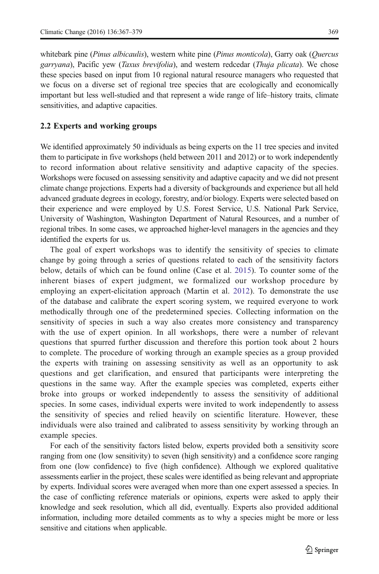whitebark pine (Pinus albicaulis), western white pine (Pinus monticola), Garry oak (Ouercus garryana), Pacific yew (Taxus brevifolia), and western redcedar (Thuja plicata). We chose these species based on input from 10 regional natural resource managers who requested that

we focus on a diverse set of regional tree species that are ecologically and economically important but less well-studied and that represent a wide range of life–history traits, climate sensitivities, and adaptive capacities.

#### 2.2 Experts and working groups

We identified approximately 50 individuals as being experts on the 11 tree species and invited them to participate in five workshops (held between 2011 and 2012) or to work independently to record information about relative sensitivity and adaptive capacity of the species. Workshops were focused on assessing sensitivity and adaptive capacity and we did not present climate change projections. Experts had a diversity of backgrounds and experience but all held advanced graduate degrees in ecology, forestry, and/or biology. Experts were selected based on their experience and were employed by U.S. Forest Service, U.S. National Park Service, University of Washington, Washington Department of Natural Resources, and a number of regional tribes. In some cases, we approached higher-level managers in the agencies and they identified the experts for us.

The goal of expert workshops was to identify the sensitivity of species to climate change by going through a series of questions related to each of the sensitivity factors below, details of which can be found online (Case et al. [2015\)](#page-10-0). To counter some of the inherent biases of expert judgment, we formalized our workshop procedure by employing an expert-elicitation approach (Martin et al. [2012\)](#page-11-0). To demonstrate the use of the database and calibrate the expert scoring system, we required everyone to work methodically through one of the predetermined species. Collecting information on the sensitivity of species in such a way also creates more consistency and transparency with the use of expert opinion. In all workshops, there were a number of relevant questions that spurred further discussion and therefore this portion took about 2 hours to complete. The procedure of working through an example species as a group provided the experts with training on assessing sensitivity as well as an opportunity to ask questions and get clarification, and ensured that participants were interpreting the questions in the same way. After the example species was completed, experts either broke into groups or worked independently to assess the sensitivity of additional species. In some cases, individual experts were invited to work independently to assess the sensitivity of species and relied heavily on scientific literature. However, these individuals were also trained and calibrated to assess sensitivity by working through an example species.

For each of the sensitivity factors listed below, experts provided both a sensitivity score ranging from one (low sensitivity) to seven (high sensitivity) and a confidence score ranging from one (low confidence) to five (high confidence). Although we explored qualitative assessments earlier in the project, these scales were identified as being relevant and appropriate by experts. Individual scores were averaged when more than one expert assessed a species. In the case of conflicting reference materials or opinions, experts were asked to apply their knowledge and seek resolution, which all did, eventually. Experts also provided additional information, including more detailed comments as to why a species might be more or less sensitive and citations when applicable.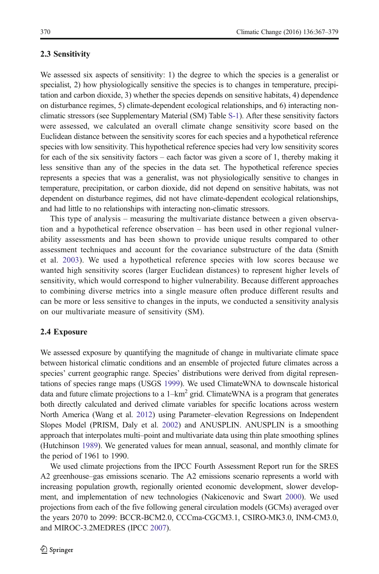#### 2.3 Sensitivity

We assessed six aspects of sensitivity: 1) the degree to which the species is a generalist or specialist, 2) how physiologically sensitive the species is to changes in temperature, precipitation and carbon dioxide, 3) whether the species depends on sensitive habitats, 4) dependence on disturbance regimes, 5) climate-dependent ecological relationships, and 6) interacting nonclimatic stressors (see Supplementary Material (SM) Table S-1). After these sensitivity factors were assessed, we calculated an overall climate change sensitivity score based on the Euclidean distance between the sensitivity scores for each species and a hypothetical reference species with low sensitivity. This hypothetical reference species had very low sensitivity scores for each of the six sensitivity factors – each factor was given a score of 1, thereby making it less sensitive than any of the species in the data set. The hypothetical reference species represents a species that was a generalist, was not physiologically sensitive to changes in temperature, precipitation, or carbon dioxide, did not depend on sensitive habitats, was not dependent on disturbance regimes, did not have climate-dependent ecological relationships, and had little to no relationships with interacting non-climatic stressors.

This type of analysis – measuring the multivariate distance between a given observation and a hypothetical reference observation – has been used in other regional vulnerability assessments and has been shown to provide unique results compared to other assessment techniques and account for the covariance substructure of the data (Smith et al. [2003](#page-11-0)). We used a hypothetical reference species with low scores because we wanted high sensitivity scores (larger Euclidean distances) to represent higher levels of sensitivity, which would correspond to higher vulnerability. Because different approaches to combining diverse metrics into a single measure often produce different results and can be more or less sensitive to changes in the inputs, we conducted a sensitivity analysis on our multivariate measure of sensitivity (SM).

#### 2.4 Exposure

We assessed exposure by quantifying the magnitude of change in multivariate climate space between historical climatic conditions and an ensemble of projected future climates across a species' current geographic range. Species' distributions were derived from digital representations of species range maps (USGS [1999\)](#page-11-0). We used ClimateWNA to downscale historical data and future climate projections to a  $1-km^2$  grid. ClimateWNA is a program that generates both directly calculated and derived climate variables for specific locations across western North America (Wang et al. [2012\)](#page-11-0) using Parameter–elevation Regressions on Independent Slopes Model (PRISM, Daly et al. [2002\)](#page-10-0) and ANUSPLIN. ANUSPLIN is a smoothing approach that interpolates multi–point and multivariate data using thin plate smoothing splines (Hutchinson [1989](#page-11-0)). We generated values for mean annual, seasonal, and monthly climate for the period of 1961 to 1990.

We used climate projections from the IPCC Fourth Assessment Report run for the SRES A2 greenhouse–gas emissions scenario. The A2 emissions scenario represents a world with increasing population growth, regionally oriented economic development, slower development, and implementation of new technologies (Nakicenovic and Swart [2000\)](#page-11-0). We used projections from each of the five following general circulation models (GCMs) averaged over the years 2070 to 2099: BCCR-BCM2.0, CCCma-CGCM3.1, CSIRO-MK3.0, INM-CM3.0, and MIROC-3.2MEDRES (IPCC [2007\)](#page-11-0).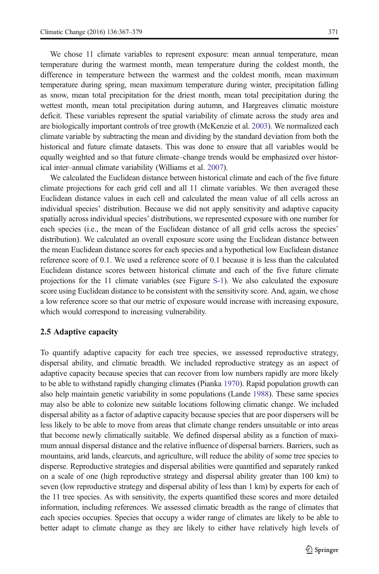We chose 11 climate variables to represent exposure: mean annual temperature, mean temperature during the warmest month, mean temperature during the coldest month, the difference in temperature between the warmest and the coldest month, mean maximum temperature during spring, mean maximum temperature during winter, precipitation falling as snow, mean total precipitation for the driest month, mean total precipitation during the wettest month, mean total precipitation during autumn, and Hargreaves climatic moisture deficit. These variables represent the spatial variability of climate across the study area and are biologically important controls of tree growth (McKenzie et al. [2003\)](#page-11-0). We normalized each climate variable by subtracting the mean and dividing by the standard deviation from both the historical and future climate datasets. This was done to ensure that all variables would be

ical inter–annual climate variability (Williams et al. [2007](#page-12-0)). We calculated the Euclidean distance between historical climate and each of the five future climate projections for each grid cell and all 11 climate variables. We then averaged these Euclidean distance values in each cell and calculated the mean value of all cells across an individual species' distribution. Because we did not apply sensitivity and adaptive capacity spatially across individual species' distributions, we represented exposure with one number for each species (i.e., the mean of the Euclidean distance of all grid cells across the species' distribution). We calculated an overall exposure score using the Euclidean distance between the mean Euclidean distance scores for each species and a hypothetical low Euclidean distance reference score of 0.1. We used a reference score of 0.1 because it is less than the calculated Euclidean distance scores between historical climate and each of the five future climate projections for the 11 climate variables (see Figure S-1). We also calculated the exposure score using Euclidean distance to be consistent with the sensitivity score. And, again, we chose a low reference score so that our metric of exposure would increase with increasing exposure, which would correspond to increasing vulnerability.

equally weighted and so that future climate–change trends would be emphasized over histor-

#### 2.5 Adaptive capacity

To quantify adaptive capacity for each tree species, we assessed reproductive strategy, dispersal ability, and climatic breadth. We included reproductive strategy as an aspect of adaptive capacity because species that can recover from low numbers rapidly are more likely to be able to withstand rapidly changing climates (Pianka [1970\)](#page-11-0). Rapid population growth can also help maintain genetic variability in some populations (Lande [1988\)](#page-11-0). These same species may also be able to colonize new suitable locations following climatic change. We included dispersal ability as a factor of adaptive capacity because species that are poor dispersers will be less likely to be able to move from areas that climate change renders unsuitable or into areas that become newly climatically suitable. We defined dispersal ability as a function of maximum annual dispersal distance and the relative influence of dispersal barriers. Barriers, such as mountains, arid lands, clearcuts, and agriculture, will reduce the ability of some tree species to disperse. Reproductive strategies and dispersal abilities were quantified and separately ranked on a scale of one (high reproductive strategy and dispersal ability greater than 100 km) to seven (low reproductive strategy and dispersal ability of less than 1 km) by experts for each of the 11 tree species. As with sensitivity, the experts quantified these scores and more detailed information, including references. We assessed climatic breadth as the range of climates that each species occupies. Species that occupy a wider range of climates are likely to be able to better adapt to climate change as they are likely to either have relatively high levels of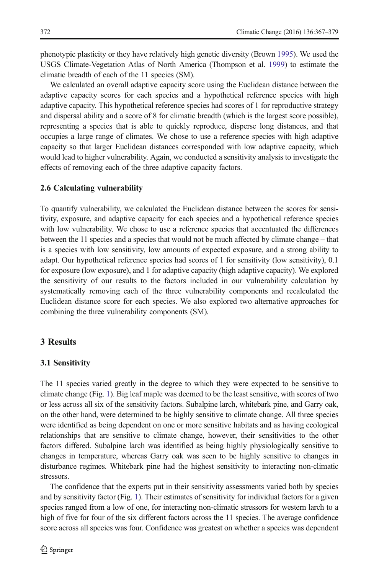phenotypic plasticity or they have relatively high genetic diversity (Brown [1995](#page-10-0)). We used the USGS Climate-Vegetation Atlas of North America (Thompson et al. [1999](#page-11-0)) to estimate the climatic breadth of each of the 11 species (SM).

We calculated an overall adaptive capacity score using the Euclidean distance between the adaptive capacity scores for each species and a hypothetical reference species with high adaptive capacity. This hypothetical reference species had scores of 1 for reproductive strategy and dispersal ability and a score of 8 for climatic breadth (which is the largest score possible), representing a species that is able to quickly reproduce, disperse long distances, and that occupies a large range of climates. We chose to use a reference species with high adaptive capacity so that larger Euclidean distances corresponded with low adaptive capacity, which would lead to higher vulnerability. Again, we conducted a sensitivity analysis to investigate the effects of removing each of the three adaptive capacity factors.

#### 2.6 Calculating vulnerability

To quantify vulnerability, we calculated the Euclidean distance between the scores for sensitivity, exposure, and adaptive capacity for each species and a hypothetical reference species with low vulnerability. We chose to use a reference species that accentuated the differences between the 11 species and a species that would not be much affected by climate change – that is a species with low sensitivity, low amounts of expected exposure, and a strong ability to adapt. Our hypothetical reference species had scores of 1 for sensitivity (low sensitivity), 0.1 for exposure (low exposure), and 1 for adaptive capacity (high adaptive capacity). We explored the sensitivity of our results to the factors included in our vulnerability calculation by systematically removing each of the three vulnerability components and recalculated the Euclidean distance score for each species. We also explored two alternative approaches for combining the three vulnerability components (SM).

### 3 Results

#### 3.1 Sensitivity

The 11 species varied greatly in the degree to which they were expected to be sensitive to climate change (Fig. [1\)](#page-6-0). Big leaf maple was deemed to be the least sensitive, with scores of two or less across all six of the sensitivity factors. Subalpine larch, whitebark pine, and Garry oak, on the other hand, were determined to be highly sensitive to climate change. All three species were identified as being dependent on one or more sensitive habitats and as having ecological relationships that are sensitive to climate change, however, their sensitivities to the other factors differed. Subalpine larch was identified as being highly physiologically sensitive to changes in temperature, whereas Garry oak was seen to be highly sensitive to changes in disturbance regimes. Whitebark pine had the highest sensitivity to interacting non-climatic stressors.

The confidence that the experts put in their sensitivity assessments varied both by species and by sensitivity factor (Fig. [1](#page-6-0)). Their estimates of sensitivity for individual factors for a given species ranged from a low of one, for interacting non-climatic stressors for western larch to a high of five for four of the six different factors across the 11 species. The average confidence score across all species was four. Confidence was greatest on whether a species was dependent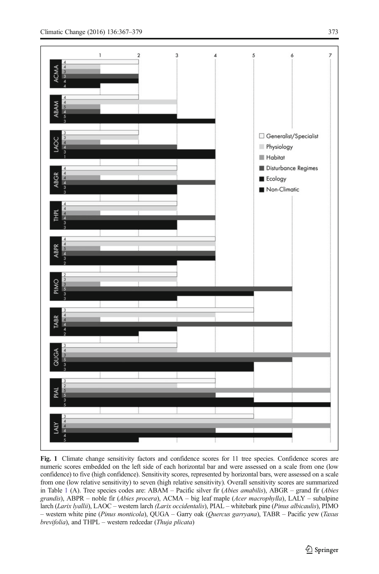<span id="page-6-0"></span>

Fig. 1 Climate change sensitivity factors and confidence scores for 11 tree species. Confidence scores are numeric scores embedded on the left side of each horizontal bar and were assessed on a scale from one (low confidence) to five (high confidence). Sensitivity scores, represented by horizontal bars, were assessed on a scale from one (low relative sensitivity) to seven (high relative sensitivity). Overall sensitivity scores are summarized in Table [1](#page-8-0) (A). Tree species codes are: ABAM – Pacific silver fir (Abies amabilis), ABGR – grand fir (Abies grandis), ABPR – noble fir (Abies procera), ACMA – big leaf maple (Acer macrophylla), LALY – subalpine larch (Larix lyallii), LAOC – western larch (Larix occidentalis), PIAL – whitebark pine (Pinus albicaulis), PIMO – western white pine (Pinus monticola), QUGA – Garry oak (Quercus garryana), TABR – Pacific yew (Taxus brevifolia), and THPL – western redcedar (Thuja plicata)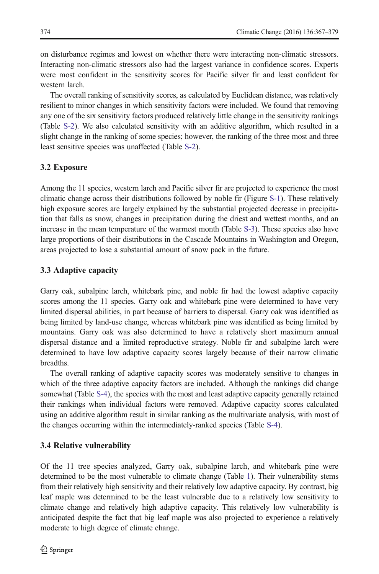on disturbance regimes and lowest on whether there were interacting non-climatic stressors. Interacting non-climatic stressors also had the largest variance in confidence scores. Experts were most confident in the sensitivity scores for Pacific silver fir and least confident for western larch.

The overall ranking of sensitivity scores, as calculated by Euclidean distance, was relatively resilient to minor changes in which sensitivity factors were included. We found that removing any one of the six sensitivity factors produced relatively little change in the sensitivity rankings (Table S-2). We also calculated sensitivity with an additive algorithm, which resulted in a slight change in the ranking of some species; however, the ranking of the three most and three least sensitive species was unaffected (Table S-2).

#### 3.2 Exposure

Among the 11 species, western larch and Pacific silver fir are projected to experience the most climatic change across their distributions followed by noble fir (Figure S-1). These relatively high exposure scores are largely explained by the substantial projected decrease in precipitation that falls as snow, changes in precipitation during the driest and wettest months, and an increase in the mean temperature of the warmest month (Table S-3). These species also have large proportions of their distributions in the Cascade Mountains in Washington and Oregon, areas projected to lose a substantial amount of snow pack in the future.

#### 3.3 Adaptive capacity

Garry oak, subalpine larch, whitebark pine, and noble fir had the lowest adaptive capacity scores among the 11 species. Garry oak and whitebark pine were determined to have very limited dispersal abilities, in part because of barriers to dispersal. Garry oak was identified as being limited by land-use change, whereas whitebark pine was identified as being limited by mountains. Garry oak was also determined to have a relatively short maximum annual dispersal distance and a limited reproductive strategy. Noble fir and subalpine larch were determined to have low adaptive capacity scores largely because of their narrow climatic breadths.

The overall ranking of adaptive capacity scores was moderately sensitive to changes in which of the three adaptive capacity factors are included. Although the rankings did change somewhat (Table S-4), the species with the most and least adaptive capacity generally retained their rankings when individual factors were removed. Adaptive capacity scores calculated using an additive algorithm result in similar ranking as the multivariate analysis, with most of the changes occurring within the intermediately-ranked species (Table S-4).

#### 3.4 Relative vulnerability

Of the 11 tree species analyzed, Garry oak, subalpine larch, and whitebark pine were determined to be the most vulnerable to climate change (Table [1\)](#page-8-0). Their vulnerability stems from their relatively high sensitivity and their relatively low adaptive capacity. By contrast, big leaf maple was determined to be the least vulnerable due to a relatively low sensitivity to climate change and relatively high adaptive capacity. This relatively low vulnerability is anticipated despite the fact that big leaf maple was also projected to experience a relatively moderate to high degree of climate change.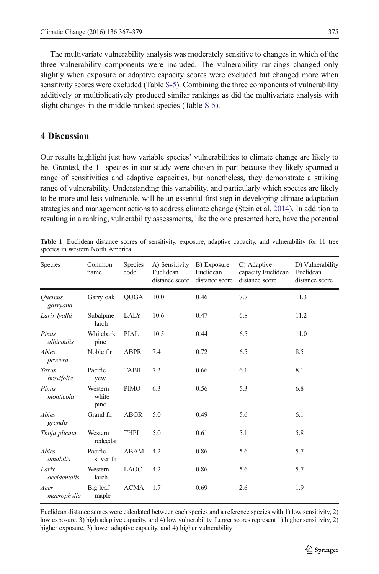<span id="page-8-0"></span>The multivariate vulnerability analysis was moderately sensitive to changes in which of the three vulnerability components were included. The vulnerability rankings changed only slightly when exposure or adaptive capacity scores were excluded but changed more when sensitivity scores were excluded (Table S-5). Combining the three components of vulnerability additively or multiplicatively produced similar rankings as did the multivariate analysis with slight changes in the middle-ranked species (Table S-5).

# 4 Discussion

Our results highlight just how variable species' vulnerabilities to climate change are likely to be. Granted, the 11 species in our study were chosen in part because they likely spanned a range of sensitivities and adaptive capacities, but nonetheless, they demonstrate a striking range of vulnerability. Understanding this variability, and particularly which species are likely to be more and less vulnerable, will be an essential first step in developing climate adaptation strategies and management actions to address climate change (Stein et al. [2014\)](#page-11-0). In addition to resulting in a ranking, vulnerability assessments, like the one presented here, have the potential

| Species               | Common<br>name           | Species<br>code | A) Sensitivity B) Exposure<br>Euclidean<br>distance score | Euclidean<br>distance score | C) Adaptive<br>capacity Euclidean<br>distance score | D) Vulnerability<br>Euclidean<br>distance score |
|-----------------------|--------------------------|-----------------|-----------------------------------------------------------|-----------------------------|-----------------------------------------------------|-------------------------------------------------|
| Ouercus<br>garryana   | Garry oak                | <b>OUGA</b>     | 10.0                                                      | 0.46                        | 7.7                                                 | 11.3                                            |
| Larix <i>lvallii</i>  | Subalpine<br>larch       | LALY            | 10.6                                                      | 0.47                        | 6.8                                                 | 11.2                                            |
| Pinus<br>albicaulis   | Whitebark<br>pine        | <b>PIAL</b>     | 10.5                                                      | 0.44                        | 6.5                                                 | 11.0                                            |
| Abies<br>procera      | Noble fir                | <b>ABPR</b>     | 7.4                                                       | 0.72                        | 6.5                                                 | 8.5                                             |
| Taxus<br>brevifolia   | Pacific<br>yew           | <b>TABR</b>     | 7.3                                                       | 0.66                        | 6.1                                                 | 8.1                                             |
| Pinus<br>monticola    | Western<br>white<br>pine | <b>PIMO</b>     | 6.3                                                       | 0.56                        | 5.3                                                 | 6.8                                             |
| Abies<br>grandis      | Grand fir                | <b>ABGR</b>     | 5.0                                                       | 0.49                        | 5.6                                                 | 6.1                                             |
| Thuja plicata         | Western<br>redcedar      | THPL            | 5.0                                                       | 0.61                        | 5.1                                                 | 5.8                                             |
| Abies<br>amabilis     | Pacific<br>silver fir    | ABAM            | 4.2                                                       | 0.86                        | 5.6                                                 | 5.7                                             |
| Larix<br>occidentalis | Western<br>larch         | <b>LAOC</b>     | 4.2                                                       | 0.86                        | 5.6                                                 | 5.7                                             |
| Acer<br>macrophylla   | Big leaf<br>maple        | <b>ACMA</b>     | 1.7                                                       | 0.69                        | 2.6                                                 | 1.9                                             |

Table 1 Euclidean distance scores of sensitivity, exposure, adaptive capacity, and vulnerability for 11 tree species in western North America

Euclidean distance scores were calculated between each species and a reference species with 1) low sensitivity, 2) low exposure, 3) high adaptive capacity, and 4) low vulnerability. Larger scores represent 1) higher sensitivity, 2) higher exposure, 3) lower adaptive capacity, and 4) higher vulnerability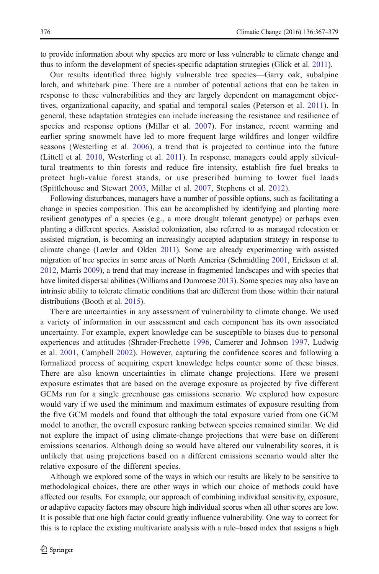to provide information about why species are more or less vulnerable to climate change and thus to inform the development of species-specific adaptation strategies (Glick et al. [2011\)](#page-11-0).

Our results identified three highly vulnerable tree species—Garry oak, subalpine larch, and whitebark pine. There are a number of potential actions that can be taken in response to these vulnerabilities and they are largely dependent on management objectives, organizational capacity, and spatial and temporal scales (Peterson et al. [2011\)](#page-11-0). In general, these adaptation strategies can include increasing the resistance and resilience of species and response options (Millar et al. [2007](#page-11-0)). For instance, recent warming and earlier spring snowmelt have led to more frequent large wildfires and longer wildfire seasons (Westerling et al. [2006](#page-11-0)), a trend that is projected to continue into the future (Littell et al. [2010](#page-11-0), Westerling et al. [2011\)](#page-12-0). In response, managers could apply silvicultural treatments to thin forests and reduce fire intensity, establish fire fuel breaks to protect high-value forest stands, or use prescribed burning to lower fuel loads (Spittlehouse and Stewart [2003,](#page-11-0) Millar et al. [2007,](#page-11-0) Stephens et al. [2012\)](#page-11-0).

Following disturbances, managers have a number of possible options, such as facilitating a change in species composition. This can be accomplished by identifying and planting more resilient genotypes of a species (e.g., a more drought tolerant genotype) or perhaps even planting a different species. Assisted colonization, also referred to as managed relocation or assisted migration, is becoming an increasingly accepted adaptation strategy in response to climate change (Lawler and Olden [2011](#page-11-0)). Some are already experimenting with assisted migration of tree species in some areas of North America (Schmidtling [2001,](#page-11-0) Erickson et al. [2012](#page-10-0), Marris [2009\)](#page-11-0), a trend that may increase in fragmented landscapes and with species that have limited dispersal abilities (Williams and Dumroese [2013\)](#page-12-0). Some species may also have an intrinsic ability to tolerate climatic conditions that are different from those within their natural distributions (Booth et al. [2015\)](#page-10-0).

There are uncertainties in any assessment of vulnerability to climate change. We used a variety of information in our assessment and each component has its own associated uncertainty. For example, expert knowledge can be susceptible to biases due to personal experiences and attitudes (Shrader-Frechette [1996](#page-11-0), Camerer and Johnson [1997,](#page-10-0) Ludwig et al. [2001,](#page-11-0) Campbell [2002](#page-10-0)). However, capturing the confidence scores and following a formalized process of acquiring expert knowledge helps counter some of these biases. There are also known uncertainties in climate change projections. Here we present exposure estimates that are based on the average exposure as projected by five different GCMs run for a single greenhouse gas emissions scenario. We explored how exposure would vary if we used the minimum and maximum estimates of exposure resulting from the five GCM models and found that although the total exposure varied from one GCM model to another, the overall exposure ranking between species remained similar. We did not explore the impact of using climate-change projections that were base on different emissions scenarios. Although doing so would have altered our vulnerability scores, it is unlikely that using projections based on a different emissions scenario would alter the relative exposure of the different species.

Although we explored some of the ways in which our results are likely to be sensitive to methodological choices, there are other ways in which our choice of methods could have affected our results. For example, our approach of combining individual sensitivity, exposure, or adaptive capacity factors may obscure high individual scores when all other scores are low. It is possible that one high factor could greatly influence vulnerability. One way to correct for this is to replace the existing multivariate analysis with a rule–based index that assigns a high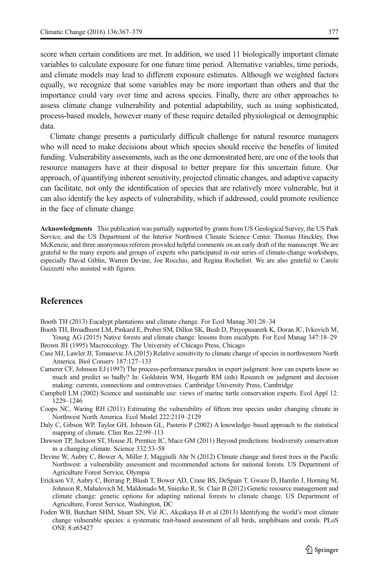<span id="page-10-0"></span>score when certain conditions are met. In addition, we used 11 biologically important climate variables to calculate exposure for one future time period. Alternative variables, time periods, and climate models may lead to different exposure estimates. Although we weighted factors equally, we recognize that some variables may be more important than others and that the importance could vary over time and across species. Finally, there are other approaches to assess climate change vulnerability and potential adaptability, such as using sophisticated, process-based models, however many of these require detailed physiological or demographic data.

Climate change presents a particularly difficult challenge for natural resource managers who will need to make decisions about which species should receive the benefits of limited funding. Vulnerability assessments, such as the one demonstrated here, are one of the tools that resource managers have at their disposal to better prepare for this uncertain future. Our approach, of quantifying inherent sensitivity, projected climatic changes, and adaptive capacity can facilitate, not only the identification of species that are relatively more vulnerable, but it can also identify the key aspects of vulnerability, which if addressed, could promote resilience in the face of climate change.

Acknowledgments This publication was partially supported by grants from US Geological Survey, the US Park Service, and the US Department of the Interior Northwest Climate Science Center. Thomas Hinckley, Don McKenzie, and three anonymous referees provided helpful comments on an early draft of the manuscript. We are grateful to the many experts and groups of experts who participated in our series of climate-change workshops, especially David Giblin, Warren Devine, Joe Rocchio, and Regina Rochefort. We are also grateful to Carole Guizzetti who assisted with figures.

# **References**

Booth TH (2013) Eucalypt plantations and climate change. For Ecol Manag 301:28–34

- Booth TH, Broadhurst LM, Pinkard E, Prober SM, Dillon SK, Bush D, Pinyopusarerk K, Doran JC, Ivkovich M, Young AG (2015) Native forests and climate change: lessons from eucalypts. For Ecol Manag 347:18–29
- Brown JH (1995) Macroecology. The University of Chicago Press, Chicago
- Case MJ, Lawler JJ, Tomasevic JA (2015) Relative sensitivity to climate change of species in northwestern North America. Biol Conserv 187:127–133
- Camerer CF, Johnson EJ (1997) The process-performance paradox in expert judgment: how can experts know so much and predict so badly? In: Goldstein WM, Hogarth RM (eds) Research on judgment and decision making: currents, connections and controversies. Cambridge University Press, Cambridge
- Campbell LM (2002) Science and sustainable use: views of marine turtle conservation experts. Ecol Appl 12: 1229–1246
- Coops NC, Waring RH (2011) Estimating the vulnerability of fifteen tree species under changing climate in Northwest North America. Ecol Model 222:2119–2129
- Daly C, Gibson WP, Taylor GH, Johnson GL, Pasteris P (2002) A knowledge–based approach to the statistical mapping of climate. Clim Res 22:99–113
- Dawson TP, Jackson ST, House JI, Prentice IC, Mace GM (2011) Beyond predictions: biodiversity conservation in a changing climate. Science 332:53–58
- Devine W, Aubry C, Bower A, Miller J, Maggiulli Ahr N (2012) Climate change and forest trees in the Pacific Northwest: a vulnerability assessment and recommended actions for national forests. US Department of Agriculture Forest Service, Olympia
- Erickson VJ, Aubry C, Berrang P, Blush T, Bower AD, Crane BS, DeSpain T, Gwaze D, Hamlin J, Horning M, Johnson R, Mahalovich M, Maldonado M, Sniezko R, St. Clair B (2012) Genetic resource management and climate change: genetic options for adapting national forests to climate change. US Department of Agriculture, Forest Service, Washington, DC
- Foden WB, Butchart SHM, Stuart SN, Vié JC, Akçakaya H et al (2013) Identifying the world's most climate change vulnerable species: a systematic trait-based assessment of all birds, amphibians and corals. PLoS ONE 8:e65427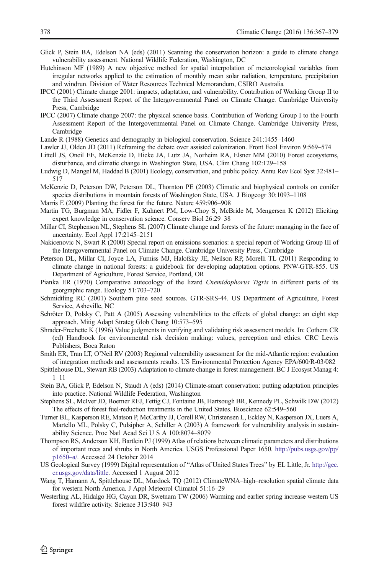- <span id="page-11-0"></span>Glick P, Stein BA, Edelson NA (eds) (2011) Scanning the conservation horizon: a guide to climate change vulnerability assessment. National Wildlife Federation, Washington, DC
- Hutchinson MF (1989) A new objective method for spatial interpolation of meteorological variables from irregular networks applied to the estimation of monthly mean solar radiation, temperature, precipitation and windrun. Division of Water Resources Technical Memorandum, CSIRO Australia
- IPCC (2001) Climate change 2001: impacts, adaptation, and vulnerability. Contribution of Working Group II to the Third Assessment Report of the Intergovernmental Panel on Climate Change. Cambridge University Press, Cambridge
- IPCC (2007) Climate change 2007: the physical science basis. Contribution of Working Group I to the Fourth Assessment Report of the Intergovernmental Panel on Climate Change. Cambridge University Press, Cambridge
- Lande R (1988) Genetics and demography in biological conservation. Science 241:1455–1460
- Lawler JJ, Olden JD (2011) Reframing the debate over assisted colonization. Front Ecol Environ 9:569–574
- Littell JS, Oneil EE, McKenzie D, Hicke JA, Lutz JA, Norheim RA, Elsner MM (2010) Forest ecosystems, disturbance, and climatic change in Washington State, USA. Clim Chang 102:129–158
- Ludwig D, Mangel M, Haddad B (2001) Ecology, conservation, and public policy. Annu Rev Ecol Syst 32:481– 517
- McKenzie D, Peterson DW, Peterson DL, Thornton PE (2003) Climatic and biophysical controls on conifer species distributions in mountain forests of Washington State, USA. J Biogeogr 30:1093–1108
- Marris E (2009) Planting the forest for the future. Nature 459:906–908
- Martin TG, Burgman MA, Fidler F, Kuhnert PM, Low-Choy S, McBride M, Mengersen K (2012) Eliciting expert knowledge in conservation science. Conserv Biol 26:29–38
- Millar CI, Stephenson NL, Stephens SL (2007) Climate change and forests of the future: managing in the face of uncertainty. Ecol Appl 17:2145–2151
- Nakicenovic N, Swart R (2000) Special report on emissions scenarios: a special report of Working Group III of the Intergovernmental Panel on Climate Change. Cambridge University Press, Cambridge
- Peterson DL, Millar CI, Joyce LA, Furniss MJ, Halofsky JE, Neilson RP, Morelli TL (2011) Responding to climate change in national forests: a guidebook for developing adaptation options. PNW-GTR-855. US Department of Agriculture, Forest Service, Portland, OR
- Pianka ER (1970) Comparative autecology of the lizard Cnemidophorus Tigris in different parts of its georgraphic range. Ecology 51:703–720
- Schmidtling RC (2001) Southern pine seed sources. GTR-SRS-44. US Department of Agriculture, Forest Service, Asheville, NC
- Schröter D, Polsky C, Patt A (2005) Assessing vulnerabilities to the effects of global change: an eight step approach. Mitig Adapt Strateg Glob Chang 10:573–595
- Shrader-Frechette K (1996) Value judgments in verifying and validating risk assessment models. In: Cothern CR (ed) Handbook for environmental risk decision making: values, perception and ethics. CRC Lewis Publishers, Boca Raton
- Smith ER, Tran LT, O'Neil RV (2003) Regional vulnerability assessment for the mid-Atlantic region: evaluation of integration methods and assessments results. US Environmental Protection Agency EPA/600/R-03/082
- Spittlehouse DL, Stewart RB (2003) Adaptation to climate change in forest management. BC J Ecosyst Manag 4: 1–11
- Stein BA, Glick P, Edelson N, Staudt A (eds) (2014) Climate-smart conservation: putting adaptation principles into practice. National Wildlife Federation, Washington
- Stephens SL, McIver JD, Boerner REJ, Fettig CJ, Fontaine JB, Hartsough BR, Kennedy PL, Schwilk DW (2012) The effects of forest fuel-reduction treatments in the United States. Bioscience 62:549–560
- Turner BL, Kasperson RE, Matson P, McCarthy JJ, Corell RW, Christensen L, Eckley N, Kasperson JX, Luers A, Martello ML, Polsky C, Pulsipher A, Schiller A (2003) A framework for vulnerability analysis in sustainability Science. Proc Natl Acad Sci U S A 100:8074–8079
- Thompson RS, Anderson KH, Bartlein PJ (1999) Atlas of relations between climatic parameters and distributions of important trees and shrubs in North America. USGS Professional Paper 1650. [http://pubs.usgs.gov/pp/](http://pubs.usgs.gov/pp/p1650%E2%80%93a/) [p1650](http://pubs.usgs.gov/pp/p1650%E2%80%93a/)–a/. Accessed 24 October 2014
- US Geological Survey (1999) Digital representation of "Atlas of United States Trees" by EL Little, Jr. [http://gec.](http://gec.cr.usgs.gov/data/little) [cr.usgs.gov/data/little.](http://gec.cr.usgs.gov/data/little) Accessed 1 August 2012
- Wang T, Hamann A, Spittlehouse DL, Murdock TQ (2012) ClimateWNA–high–resolution spatial climate data for western North America. J Appl Meteorol Climatol 51:16–29
- Westerling AL, Hidalgo HG, Cayan DR, Swetnam TW (2006) Warming and earlier spring increase western US forest wildfire activity. Science 313:940–943